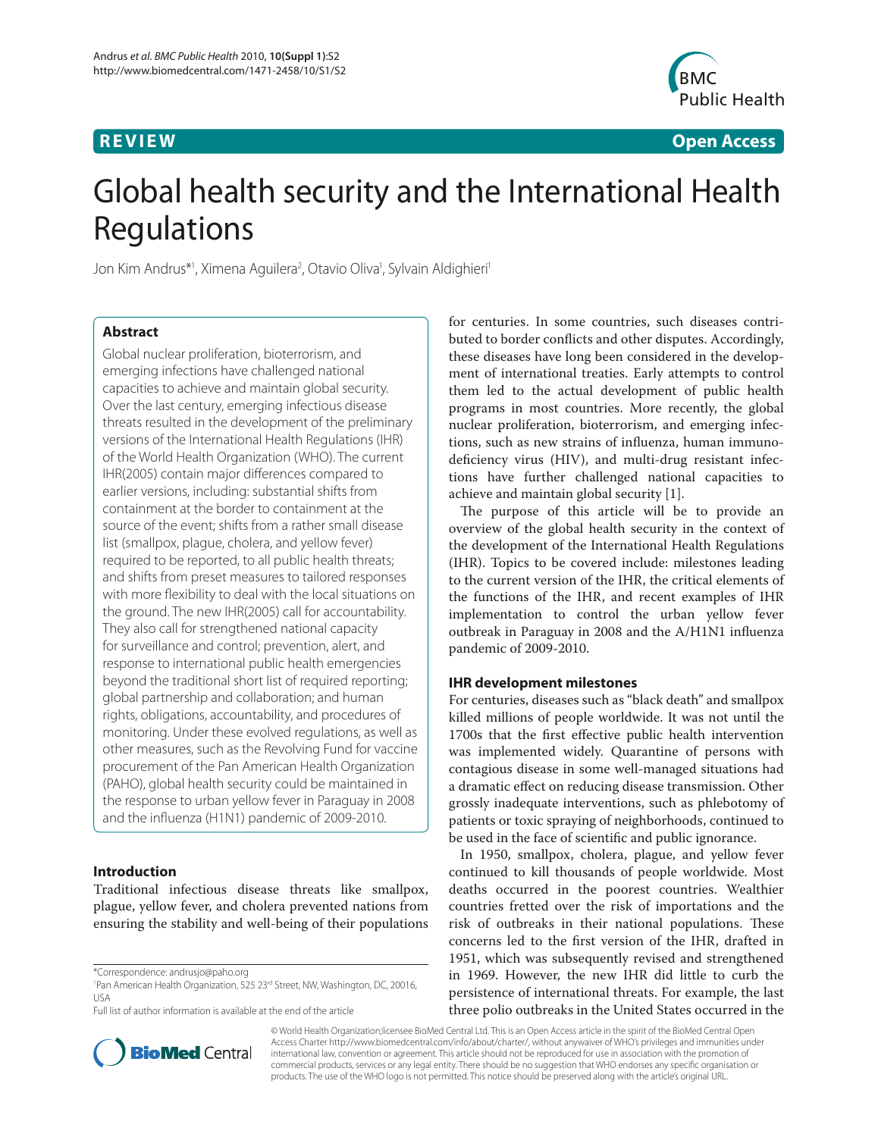

**REVIEW CONSTRUCTION CONSTRUCTION** 

# Global health security and the International Health Regulations

Jon Kim Andrus\*1, Ximena Aguilera<sup>2</sup>, Otavio Oliva<sup>1</sup>, Sylvain Aldighieri<sup>1</sup>

# **Abstract**

Global nuclear proliferation, bioterrorism, and emerging infections have challenged national capacities to achieve and maintain global security. Over the last century, emerging infectious disease threats resulted in the development of the preliminary versions of the International Health Regulations (IHR) of the World Health Organization (WHO). The current IHR(2005) contain major differences compared to earlier versions, including: substantial shifts from containment at the border to containment at the source of the event; shifts from a rather small disease list (smallpox, plague, cholera, and yellow fever) required to be reported, to all public health threats; and shifts from preset measures to tailored responses with more flexibility to deal with the local situations on the ground. The new IHR(2005) call for accountability. They also call for strengthened national capacity for surveillance and control; prevention, alert, and response to international public health emergencies beyond the traditional short list of required reporting; global partnership and collaboration; and human rights, obligations, accountability, and procedures of monitoring. Under these evolved regulations, as well as other measures, such as the Revolving Fund for vaccine procurement of the Pan American Health Organization (PAHO), global health security could be maintained in the response to urban yellow fever in Paraguay in 2008 and the influenza (H1N1) pandemic of 2009-2010.

# **Introduction**

Traditional infectious disease threats like smallpox, plague, yellow fever, and cholera prevented nations from ensuring the stability and well-being of their populations

\*Correspondence: andrusjo@paho.org

<sup>1</sup>Pan American Health Organization, 525 23<sup>rd</sup> Street, NW, Washington, DC, 20016, USA

Full list of author information is available at the end of the article

for centuries. In some countries, such diseases contributed to border conflicts and other disputes. Accordingly, these diseases have long been considered in the development of international treaties. Early attempts to control them led to the actual development of public health programs in most countries. More recently, the global nuclear proliferation, bioterrorism, and emerging infections, such as new strains of influenza, human immunodeficiency virus (HIV), and multi-drug resistant infections have further challenged national capacities to achieve and maintain global security [1].

The purpose of this article will be to provide an overview of the global health security in the context of the development of the International Health Regulations (IHR). Topics to be covered include: milestones leading to the current version of the IHR, the critical elements of the functions of the IHR, and recent examples of IHR implementation to control the urban yellow fever outbreak in Paraguay in 2008 and the A/H1N1 influenza pandemic of 2009-2010.

### **IHR development milestones**

For centuries, diseases such as "black death" and smallpox killed millions of people worldwide. It was not until the 1700s that the first effective public health intervention was implemented widely. Quarantine of persons with contagious disease in some well-managed situations had a dramatic effect on reducing disease transmission. Other grossly inadequate interventions, such as phlebotomy of patients or toxic spraying of neighborhoods, continued to be used in the face of scientific and public ignorance.

In 1950, smallpox, cholera, plague, and yellow fever continued to kill thousands of people worldwide. Most deaths occurred in the poorest countries. Wealthier countries fretted over the risk of importations and the risk of outbreaks in their national populations. These concerns led to the first version of the IHR, drafted in 1951, which was subsequently revised and strengthened in 1969. However, the new IHR did little to curb the persistence of international threats. For example, the last three polio outbreaks in the United States occurred in the



© World Health Organization;licensee BioMed Central Ltd. This is an Open Access article in the spirit of the BioMed Central Open Access Charter http://www.biomedcentral.com/info/about/charter/, without anywaiver of WHO's privileges and immunities under international law, convention or agreement. This article should not be reproduced for use in association with the promotion of commercial products, services or any legal entity. There should be no suggestion that WHO endorses any specific organisation or products. The use of the WHO logo is not permitted. This notice should be preserved along with the article's original URL.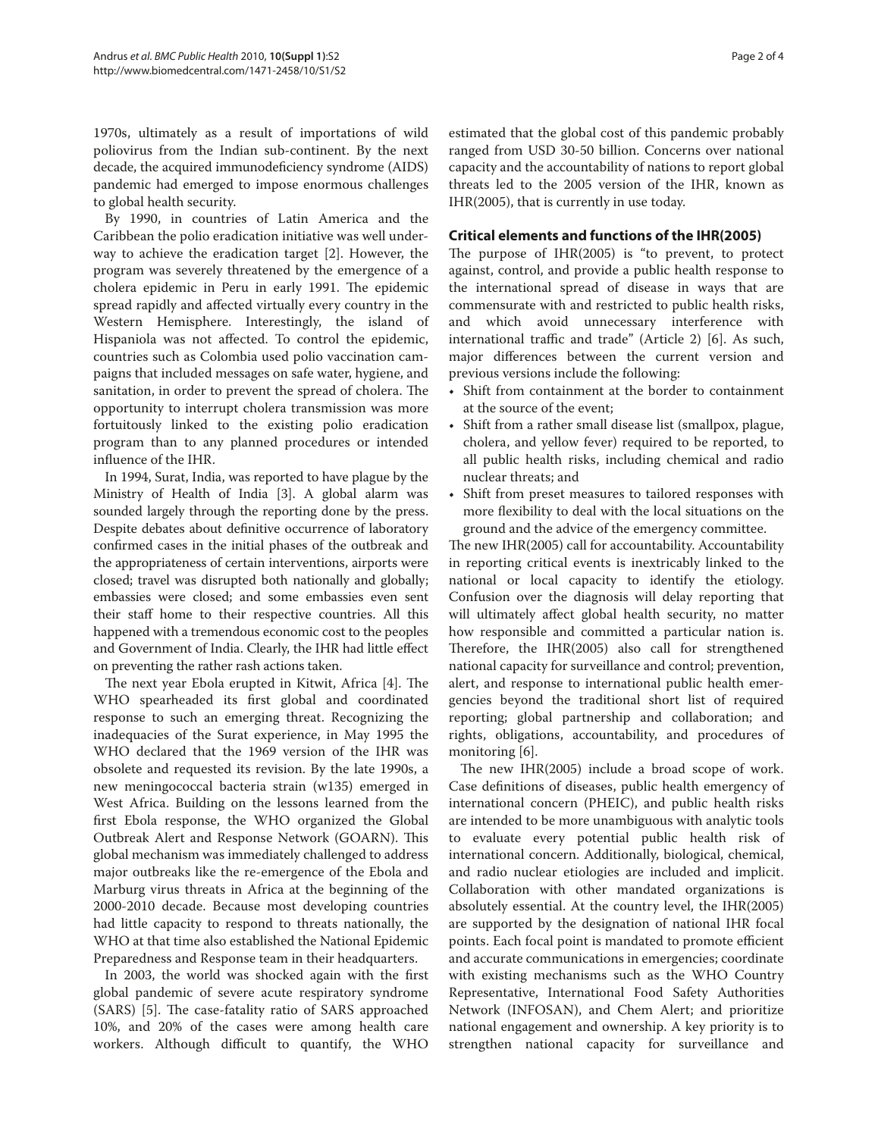1970s, ultimately as a result of importations of wild poliovirus from the Indian sub-continent. By the next decade, the acquired immunodeficiency syndrome (AIDS) pandemic had emerged to impose enormous challenges to global health security.

By 1990, in countries of Latin America and the Caribbean the polio eradication initiative was well underway to achieve the eradication target [2]. However, the program was severely threatened by the emergence of a cholera epidemic in Peru in early 1991. The epidemic spread rapidly and affected virtually every country in the Western Hemisphere. Interestingly, the island of Hispaniola was not affected. To control the epidemic, countries such as Colombia used polio vaccination campaigns that included messages on safe water, hygiene, and sanitation, in order to prevent the spread of cholera. The opportunity to interrupt cholera transmission was more fortuitously linked to the existing polio eradication program than to any planned procedures or intended influence of the IHR.

In 1994, Surat, India, was reported to have plague by the Ministry of Health of India [3]. A global alarm was sounded largely through the reporting done by the press. Despite debates about definitive occurrence of laboratory confirmed cases in the initial phases of the outbreak and the appropriateness of certain interventions, airports were closed; travel was disrupted both nationally and globally; embassies were closed; and some embassies even sent their staff home to their respective countries. All this happened with a tremendous economic cost to the peoples and Government of India. Clearly, the IHR had little effect on preventing the rather rash actions taken.

The next year Ebola erupted in Kitwit, Africa [4]. The WHO spearheaded its first global and coordinated response to such an emerging threat. Recognizing the inadequacies of the Surat experience, in May 1995 the WHO declared that the 1969 version of the IHR was obsolete and requested its revision. By the late 1990s, a new meningococcal bacteria strain (w135) emerged in West Africa. Building on the lessons learned from the first Ebola response, the WHO organized the Global Outbreak Alert and Response Network (GOARN). This global mechanism was immediately challenged to address major outbreaks like the re-emergence of the Ebola and Marburg virus threats in Africa at the beginning of the 2000-2010 decade. Because most developing countries had little capacity to respond to threats nationally, the WHO at that time also established the National Epidemic Preparedness and Response team in their headquarters.

In 2003, the world was shocked again with the first global pandemic of severe acute respiratory syndrome (SARS) [5]. The case-fatality ratio of SARS approached 10%, and 20% of the cases were among health care workers. Although difficult to quantify, the WHO estimated that the global cost of this pandemic probably ranged from USD 30-50 billion. Concerns over national capacity and the accountability of nations to report global threats led to the 2005 version of the IHR, known as IHR(2005), that is currently in use today.

# **Critical elements and functions of the IHR(2005)**

The purpose of  $IHR(2005)$  is "to prevent, to protect against, control, and provide a public health response to the international spread of disease in ways that are commensurate with and restricted to public health risks, and which avoid unnecessary interference with international traffic and trade" (Article 2) [6]. As such, major differences between the current version and previous versions include the following:

- Shift from containment at the border to containment at the source of the event;
- Shift from a rather small disease list (smallpox, plague, cholera, and yellow fever) required to be reported, to all public health risks, including chemical and radio nuclear threats; and
- Shift from preset measures to tailored responses with more flexibility to deal with the local situations on the ground and the advice of the emergency committee.

The new IHR(2005) call for accountability. Accountability in reporting critical events is inextricably linked to the national or local capacity to identify the etiology. Confusion over the diagnosis will delay reporting that will ultimately affect global health security, no matter how responsible and committed a particular nation is. Therefore, the IHR(2005) also call for strengthened national capacity for surveillance and control; prevention, alert, and response to international public health emergencies beyond the traditional short list of required reporting; global partnership and collaboration; and rights, obligations, accountability, and procedures of monitoring [6].

The new  $IHR(2005)$  include a broad scope of work. Case definitions of diseases, public health emergency of international concern (PHEIC), and public health risks are intended to be more unambiguous with analytic tools to evaluate every potential public health risk of international concern. Additionally, biological, chemical, and radio nuclear etiologies are included and implicit. Collaboration with other mandated organizations is absolutely essential. At the country level, the IHR(2005) are supported by the designation of national IHR focal points. Each focal point is mandated to promote efficient and accurate communications in emergencies; coordinate with existing mechanisms such as the WHO Country Representative, International Food Safety Authorities Network (INFOSAN), and Chem Alert; and prioritize national engagement and ownership. A key priority is to strengthen national capacity for surveillance and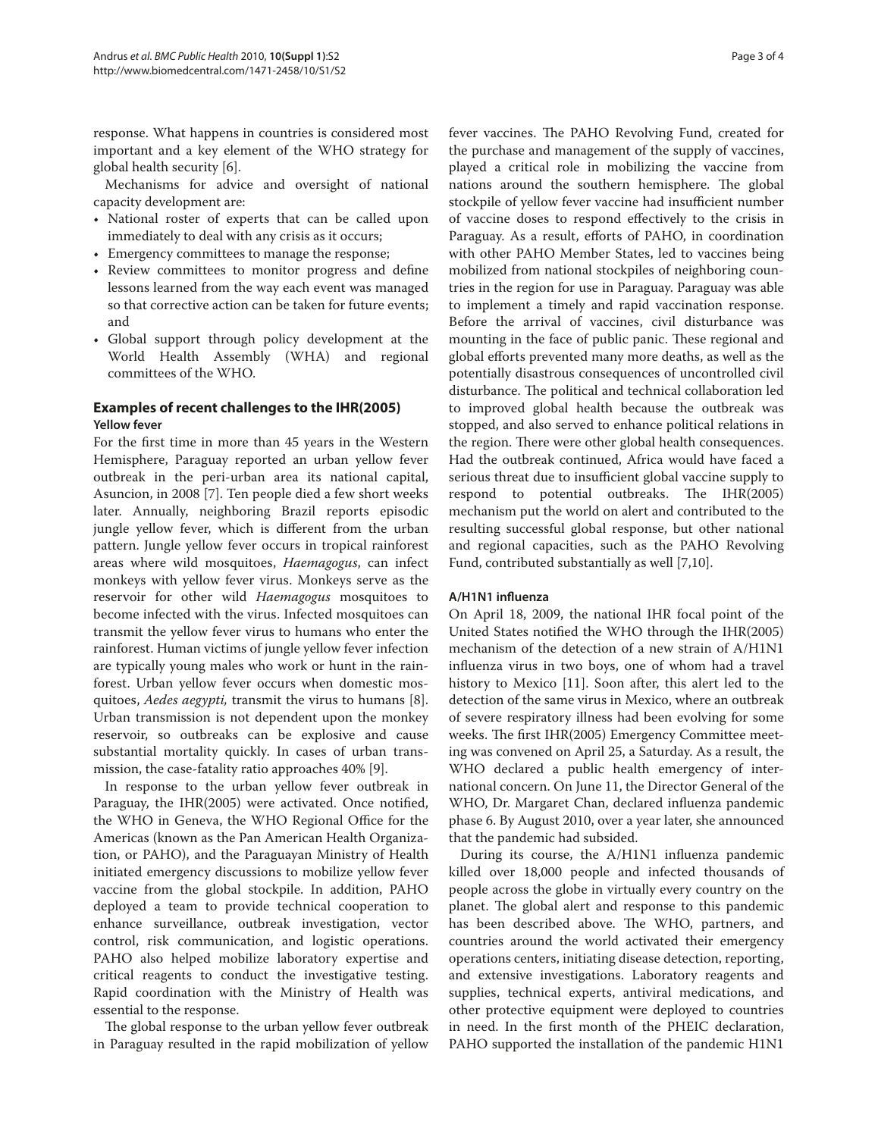response. What happens in countries is considered most important and a key element of the WHO strategy for global health security [6].

Mechanisms for advice and oversight of national capacity development are:

- National roster of experts that can be called upon immediately to deal with any crisis as it occurs;
- Emergency committees to manage the response;
- Review committees to monitor progress and define lessons learned from the way each event was managed so that corrective action can be taken for future events; and
- Global support through policy development at the World Health Assembly (WHA) and regional committees of the WHO.

# **Examples of recent challenges to the IHR(2005) Yellow fever**

For the first time in more than 45 years in the Western Hemisphere, Paraguay reported an urban yellow fever outbreak in the peri-urban area its national capital, Asuncion, in 2008 [7]. Ten people died a few short weeks later. Annually, neighboring Brazil reports episodic jungle yellow fever, which is different from the urban pattern. Jungle yellow fever occurs in tropical rainforest areas where wild mosquitoes, *Haemagogus*, can infect monkeys with yellow fever virus. Monkeys serve as the reservoir for other wild *Haemagogus* mosquitoes to become infected with the virus. Infected mosquitoes can transmit the yellow fever virus to humans who enter the rainforest. Human victims of jungle yellow fever infection are typically young males who work or hunt in the rainforest. Urban yellow fever occurs when domestic mosquitoes, *Aedes aegypti,* transmit the virus to humans [8]. Urban transmission is not dependent upon the monkey reservoir, so outbreaks can be explosive and cause substantial mortality quickly. In cases of urban transmission, the case-fatality ratio approaches 40% [9].

In response to the urban yellow fever outbreak in Paraguay, the IHR(2005) were activated. Once notified, the WHO in Geneva, the WHO Regional Office for the Americas (known as the Pan American Health Organization, or PAHO), and the Paraguayan Ministry of Health initiated emergency discussions to mobilize yellow fever vaccine from the global stockpile. In addition, PAHO deployed a team to provide technical cooperation to enhance surveillance, outbreak investigation, vector control, risk communication, and logistic operations. PAHO also helped mobilize laboratory expertise and critical reagents to conduct the investigative testing. Rapid coordination with the Ministry of Health was essential to the response.

The global response to the urban yellow fever outbreak in Paraguay resulted in the rapid mobilization of yellow

fever vaccines. The PAHO Revolving Fund, created for the purchase and management of the supply of vaccines, played a critical role in mobilizing the vaccine from nations around the southern hemisphere. The global stockpile of yellow fever vaccine had insufficient number of vaccine doses to respond effectively to the crisis in Paraguay. As a result, efforts of PAHO, in coordination with other PAHO Member States, led to vaccines being mobilized from national stockpiles of neighboring countries in the region for use in Paraguay. Paraguay was able to implement a timely and rapid vaccination response. Before the arrival of vaccines, civil disturbance was mounting in the face of public panic. These regional and global efforts prevented many more deaths, as well as the potentially disastrous consequences of uncontrolled civil disturbance. The political and technical collaboration led to improved global health because the outbreak was stopped, and also served to enhance political relations in the region. There were other global health consequences. Had the outbreak continued, Africa would have faced a serious threat due to insufficient global vaccine supply to respond to potential outbreaks. The  $IHR(2005)$ mechanism put the world on alert and contributed to the resulting successful global response, but other national and regional capacities, such as the PAHO Revolving Fund, contributed substantially as well [7,10].

# **A/H1N1 infl uenza**

On April 18, 2009, the national IHR focal point of the United States notified the WHO through the IHR(2005) mechanism of the detection of a new strain of A/H1N1 influenza virus in two boys, one of whom had a travel history to Mexico [11]. Soon after, this alert led to the detection of the same virus in Mexico, where an outbreak of severe respiratory illness had been evolving for some weeks. The first IHR(2005) Emergency Committee meeting was convened on April 25, a Saturday. As a result, the WHO declared a public health emergency of international concern. On June 11, the Director General of the WHO, Dr. Margaret Chan, declared influenza pandemic phase 6. By August 2010, over a year later, she announced that the pandemic had subsided.

During its course, the A/H1N1 influenza pandemic killed over 18,000 people and infected thousands of people across the globe in virtually every country on the planet. The global alert and response to this pandemic has been described above. The WHO, partners, and countries around the world activated their emergency operations centers, initiating disease detection, reporting, and extensive investigations. Laboratory reagents and supplies, technical experts, antiviral medications, and other protective equipment were deployed to countries in need. In the first month of the PHEIC declaration, PAHO supported the installation of the pandemic H1N1